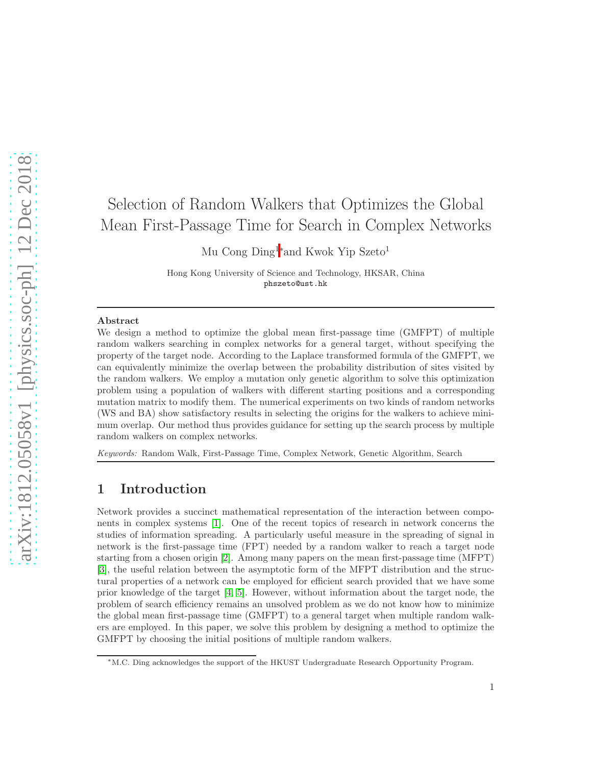# Selection of Random Walkers that Optimizes the Global Mean First-Passage Time for Search in Complex Networks

Mu Cong Ding<sup>1</sup><sup>∗</sup>and Kwok Yip Szeto<sup>1</sup>

Hong Kong University of Science and Technology, HKSAR, China phszeto@ust.hk

#### Abstract

We design a method to optimize the global mean first-passage time (GMFPT) of multiple random walkers searching in complex networks for a general target, without specifying the property of the target node. According to the Laplace transformed formula of the GMFPT, we can equivalently minimize the overlap between the probability distribution of sites visited by the random walkers. We employ a mutation only genetic algorithm to solve this optimization problem using a population of walkers with different starting positions and a corresponding mutation matrix to modify them. The numerical experiments on two kinds of random networks (WS and BA) show satisfactory results in selecting the origins for the walkers to achieve minimum overlap. Our method thus provides guidance for setting up the search process by multiple random walkers on complex networks.

*Keywords:* Random Walk, First-Passage Time, Complex Network, Genetic Algorithm, Search

## 1 Introduction

Network provides a succinct mathematical representation of the interaction between components in complex systems [\[1\]](#page-4-0). One of the recent topics of research in network concerns the studies of information spreading. A particularly useful measure in the spreading of signal in network is the first-passage time (FPT) needed by a random walker to reach a target node starting from a chosen origin [\[2\]](#page-4-1). Among many papers on the mean first-passage time (MFPT) [\[3\]](#page-4-2), the useful relation between the asymptotic form of the MFPT distribution and the structural properties of a network can be employed for efficient search provided that we have some prior knowledge of the target [\[4,](#page-4-3) [5\]](#page-4-4). However, without information about the target node, the problem of search efficiency remains an unsolved problem as we do not know how to minimize the global mean first-passage time (GMFPT) to a general target when multiple random walkers are employed. In this paper, we solve this problem by designing a method to optimize the GMFPT by choosing the initial positions of multiple random walkers.

<sup>∗</sup>M.C. Ding acknowledges the support of the HKUST Undergraduate Research Opportunity Program.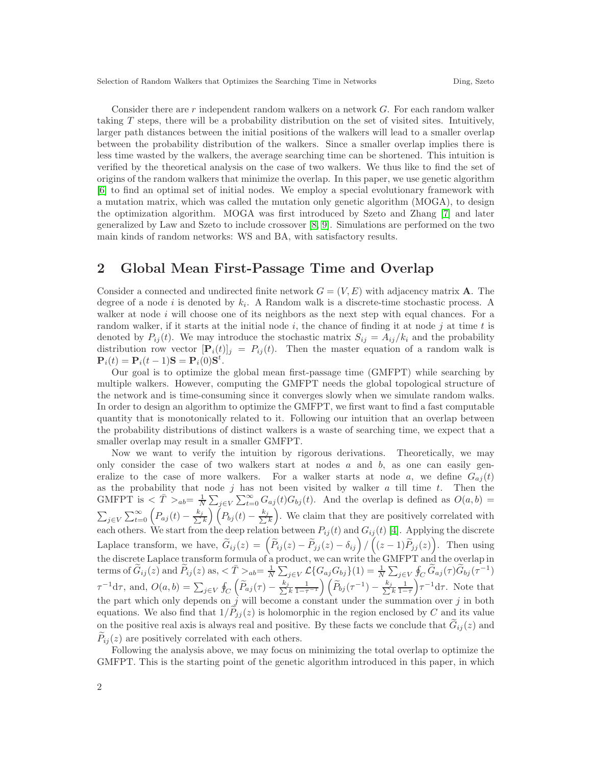Selection of Random Walkers that Optimizes the Searching Time in Networks Ding, Szeto

Consider there are r independent random walkers on a network  $G$ . For each random walker taking T steps, there will be a probability distribution on the set of visited sites. Intuitively, larger path distances between the initial positions of the walkers will lead to a smaller overlap between the probability distribution of the walkers. Since a smaller overlap implies there is less time wasted by the walkers, the average searching time can be shortened. This intuition is verified by the theoretical analysis on the case of two walkers. We thus like to find the set of origins of the random walkers that minimize the overlap. In this paper, we use genetic algorithm [\[6\]](#page-4-5) to find an optimal set of initial nodes. We employ a special evolutionary framework with a mutation matrix, which was called the mutation only genetic algorithm (MOGA), to design the optimization algorithm. MOGA was first introduced by Szeto and Zhang [\[7\]](#page-4-6) and later generalized by Law and Szeto to include crossover [\[8,](#page-4-7) [9\]](#page-4-8). Simulations are performed on the two main kinds of random networks: WS and BA, with satisfactory results.

# 2 Global Mean First-Passage Time and Overlap

Consider a connected and undirected finite network  $G = (V, E)$  with adjacency matrix **A**. The degree of a node i is denoted by  $k_i$ . A Random walk is a discrete-time stochastic process. A walker at node  $i$  will choose one of its neighbors as the next step with equal chances. For a random walker, if it starts at the initial node  $i$ , the chance of finding it at node  $j$  at time  $t$  is denoted by  $P_{ij}(t)$ . We may introduce the stochastic matrix  $S_{ij} = A_{ij}/k_i$  and the probability distribution row vector  $[\mathbf{P}_i(t)]_j = P_{ij}(t)$ . Then the master equation of a random walk is  $\mathbf{P}_i(t) = \mathbf{P}_i(t-1)\mathbf{S} = \mathbf{P}_i(0)\mathbf{S}^t.$ 

Our goal is to optimize the global mean first-passage time (GMFPT) while searching by multiple walkers. However, computing the GMFPT needs the global topological structure of the network and is time-consuming since it converges slowly when we simulate random walks. In order to design an algorithm to optimize the GMFPT, we first want to find a fast computable quantity that is monotonically related to it. Following our intuition that an overlap between the probability distributions of distinct walkers is a waste of searching time, we expect that a smaller overlap may result in a smaller GMFPT.

Now we want to verify the intuition by rigorous derivations. Theoretically, we may only consider the case of two walkers start at nodes  $a$  and  $b$ , as one can easily generalize to the case of more walkers. For a walker starts at node a, we define  $G_{ai}(t)$ as the probability that node  $j$  has not been visited by walker  $a$  till time  $t$ . Then the GMFPT is  $\langle \bar{T} \rangle_{ab} = \frac{1}{N}$  $\frac{1}{N}\sum_{j\in V}\sum_{t=0}^{\infty}G_{aj}(t)G_{bj}(t)$ . And the overlap is defined as  $O(a,b)$  =  $\sum_{j\in V}\sum_{t=0}^{\infty}\left(P_{aj}(t)-\frac{k_j}{\sum k}\right)\left(P_{bj}(t)-\frac{k_j}{\sum k}\right)$  . We claim that they are positively correlated with each others. We start from the deep relation between  $P_{ij}(t)$  and  $G_{ij}(t)$  [\[4\]](#page-4-3). Applying the discrete Laplace transform, we have,  $\tilde{G}_{ij}(z) = \left(\tilde{P}_{ij}(z) - \tilde{P}_{jj}(z) - \delta_{ij}\right)/\left((z-1)\tilde{P}_{jj}(z)\right)$ . Then using the discrete Laplace transform formula of a product, we can write the GMFPT and the overlap in terms of  $\widetilde{G}_{ij}(z)$  and  $\widetilde{P}_{ij}(z)$  as,  $\langle \overline{T} \rangle_{ab} = \frac{1}{N} \sum_{j \in V} \mathcal{L} \{ G_{aj} G_{bj} \}(1) = \frac{1}{N} \sum_{j \in V} \oint_C \widetilde{G}_{aj}(\tau) \widetilde{G}_{bj}(\tau^{-1})$  $\tau^{-1} d\tau$ , and,  $O(a, b) = \sum_{j \in V} \oint_C$  $\left(\widetilde{P}_{aj}(\tau) - \frac{k_j}{\sum k}\right)$  $\left(\widetilde{P}_{bj}(\tau^{-1}) - \frac{k_j}{\sum k_j} \right)$  $\frac{1}{1-\tau}$  $\int \tau^{-1} d\tau$ . Note that the part which only depends on  $\hat{j}$  will become a constant under the summation over  $j$  in both equations. We also find that  $1/\tilde{P}_{ij}(z)$  is holomorphic in the region enclosed by C and its value on the positive real axis is always real and positive. By these facts we conclude that  $G_{ij}(z)$  and  $P_{ij}(z)$  are positively correlated with each others.

Following the analysis above, we may focus on minimizing the total overlap to optimize the GMFPT. This is the starting point of the genetic algorithm introduced in this paper, in which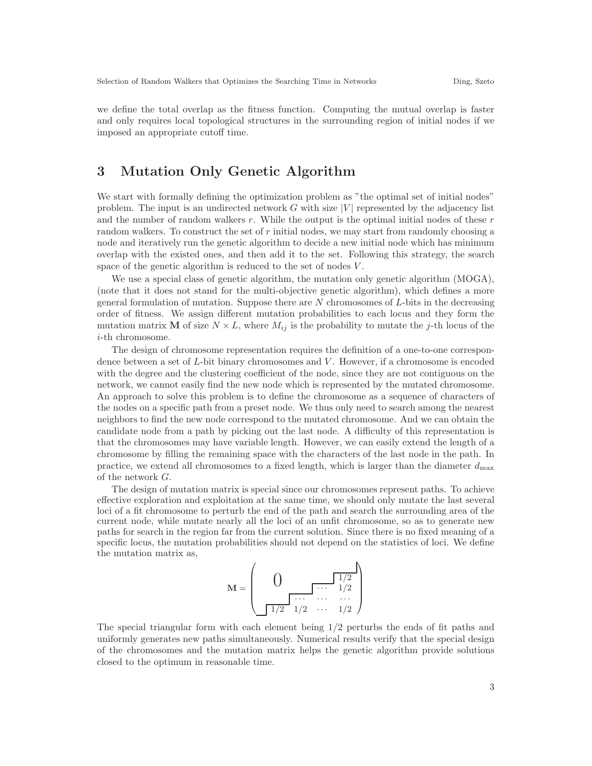we define the total overlap as the fitness function. Computing the mutual overlap is faster and only requires local topological structures in the surrounding region of initial nodes if we imposed an appropriate cutoff time.

# 3 Mutation Only Genetic Algorithm

We start with formally defining the optimization problem as "the optimal set of initial nodes" problem. The input is an undirected network  $G$  with size  $|V|$  represented by the adjacency list and the number of random walkers  $r$ . While the output is the optimal initial nodes of these  $r$ random walkers. To construct the set of r initial nodes, we may start from randomly choosing a node and iteratively run the genetic algorithm to decide a new initial node which has minimum overlap with the existed ones, and then add it to the set. Following this strategy, the search space of the genetic algorithm is reduced to the set of nodes V .

We use a special class of genetic algorithm, the mutation only genetic algorithm (MOGA), (note that it does not stand for the multi-objective genetic algorithm), which defines a more general formulation of mutation. Suppose there are  $N$  chromosomes of  $L$ -bits in the decreasing order of fitness. We assign different mutation probabilities to each locus and they form the mutation matrix **M** of size  $N \times L$ , where  $M_{ij}$  is the probability to mutate the j-th locus of the i-th chromosome.

The design of chromosome representation requires the definition of a one-to-one correspondence between a set of L-bit binary chromosomes and V. However, if a chromosome is encoded with the degree and the clustering coefficient of the node, since they are not contiguous on the network, we cannot easily find the new node which is represented by the mutated chromosome. An approach to solve this problem is to define the chromosome as a sequence of characters of the nodes on a specific path from a preset node. We thus only need to search among the nearest neighbors to find the new node correspond to the mutated chromosome. And we can obtain the candidate node from a path by picking out the last node. A difficulty of this representation is that the chromosomes may have variable length. However, we can easily extend the length of a chromosome by filling the remaining space with the characters of the last node in the path. In practice, we extend all chromosomes to a fixed length, which is larger than the diameter  $d_{\text{max}}$ of the network G.

The design of mutation matrix is special since our chromosomes represent paths. To achieve effective exploration and exploitation at the same time, we should only mutate the last several loci of a fit chromosome to perturb the end of the path and search the surrounding area of the current node, while mutate nearly all the loci of an unfit chromosome, so as to generate new paths for search in the region far from the current solution. Since there is no fixed meaning of a specific locus, the mutation probabilities should not depend on the statistics of loci. We define the mutation matrix as,

$$
\mathbf{M} = \left( \begin{array}{cccc} 0 & \overbrace{1/2} & 1/2 \\ \overbrace{1/2} & \overbrace{1/2} & \cdots & \overbrace{1/2} \\ 1/2 & \cdots & 1/2 \end{array} \right)
$$

The special triangular form with each element being 1/2 perturbs the ends of fit paths and uniformly generates new paths simultaneously. Numerical results verify that the special design of the chromosomes and the mutation matrix helps the genetic algorithm provide solutions closed to the optimum in reasonable time.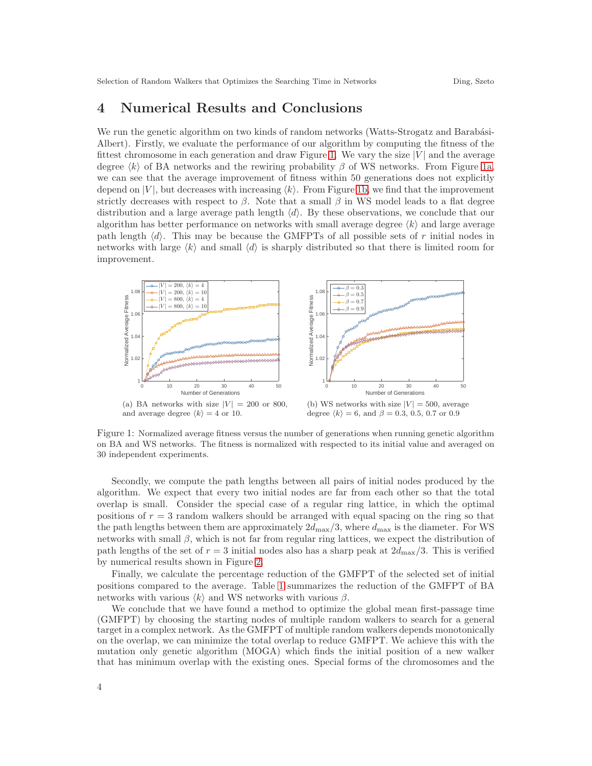## 4 Numerical Results and Conclusions

We run the genetic algorithm on two kinds of random networks (Watts-Strogatz and Barabási-Albert). Firstly, we evaluate the performance of our algorithm by computing the fitness of the fittest chromosome in each generation and draw Figure [1.](#page-3-0) We vary the size  $|V|$  and the average degree  $\langle k \rangle$  of BA networks and the rewiring probability  $\beta$  of WS networks. From Figure [1a,](#page-3-1) we can see that the average improvement of fitness within 50 generations does not explicitly depend on  $|V|$ , but decreases with increasing  $\langle k \rangle$ . From Figure [1b,](#page-3-2) we find that the improvement strictly decreases with respect to  $\beta$ . Note that a small  $\beta$  in WS model leads to a flat degree distribution and a large average path length  $\langle d \rangle$ . By these observations, we conclude that our algorithm has better performance on networks with small average degree  $\langle k \rangle$  and large average path length  $\langle d \rangle$ . This may be because the GMFPTs of all possible sets of r initial nodes in networks with large  $\langle k \rangle$  and small  $\langle d \rangle$  is sharply distributed so that there is limited room for improvement.

<span id="page-3-1"></span><span id="page-3-0"></span>

(a) BA networks with size  $|V| = 200$  or 800, and average degree  $\langle k \rangle = 4$  or 10.

<span id="page-3-2"></span>(b) WS networks with size  $|V| = 500$ , average degree  $\langle k \rangle = 6$ , and  $\beta = 0.3, 0.5, 0.7$  or 0.9

Figure 1: Normalized average fitness versus the number of generations when running genetic algorithm on BA and WS networks. The fitness is normalized with respected to its initial value and averaged on 30 independent experiments.

Secondly, we compute the path lengths between all pairs of initial nodes produced by the algorithm. We expect that every two initial nodes are far from each other so that the total overlap is small. Consider the special case of a regular ring lattice, in which the optimal positions of  $r = 3$  random walkers should be arranged with equal spacing on the ring so that the path lengths between them are approximately  $2d_{\text{max}}/3$ , where  $d_{\text{max}}$  is the diameter. For WS networks with small  $\beta$ , which is not far from regular ring lattices, we expect the distribution of path lengths of the set of  $r = 3$  initial nodes also has a sharp peak at  $2d_{\text{max}}/3$ . This is verified by numerical results shown in Figure [2.](#page-4-9)

Finally, we calculate the percentage reduction of the GMFPT of the selected set of initial positions compared to the average. Table [1](#page-4-10) summarizes the reduction of the GMFPT of BA networks with various  $\langle k \rangle$  and WS networks with various  $\beta$ .

We conclude that we have found a method to optimize the global mean first-passage time (GMFPT) by choosing the starting nodes of multiple random walkers to search for a general target in a complex network. As the GMFPT of multiple random walkers depends monotonically on the overlap, we can minimize the total overlap to reduce GMFPT. We achieve this with the mutation only genetic algorithm (MOGA) which finds the initial position of a new walker that has minimum overlap with the existing ones. Special forms of the chromosomes and the